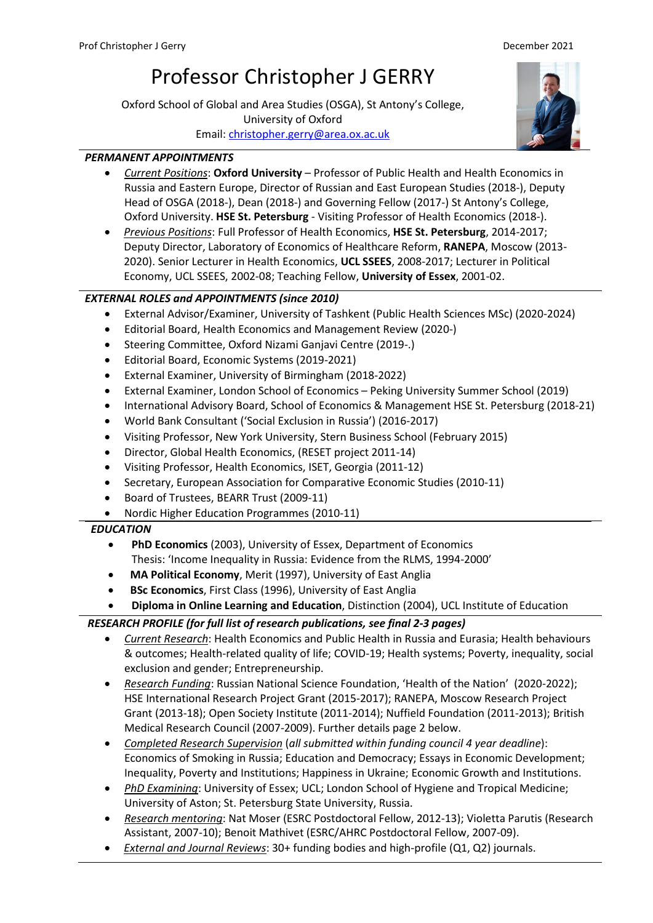# Professor Christopher J GERRY

Oxford School of Global and Area Studies (OSGA), St Antony's College, University of Oxford Email[: christopher.gerry@area.ox.ac.uk](mailto:christopher.gerry@area.ox.ac.uk)

## *PERMANENT APPOINTMENTS*

- *Current Positions*: **Oxford University** Professor of Public Health and Health Economics in Russia and Eastern Europe, Director of Russian and East European Studies (2018-), Deputy Head of OSGA (2018-), Dean (2018-) and Governing Fellow (2017-) St Antony's College, Oxford University. **HSE St. Petersburg** - Visiting Professor of Health Economics (2018-).
- *Previous Positions*: Full Professor of Health Economics, **HSE St. Petersburg**, 2014-2017; Deputy Director, Laboratory of Economics of Healthcare Reform, **RANEPA**, Moscow (2013- 2020). Senior Lecturer in Health Economics, **UCL SSEES**, 2008-2017; Lecturer in Political Economy, UCL SSEES, 2002-08; Teaching Fellow, **University of Essex**, 2001-02.

## *EXTERNAL ROLES and APPOINTMENTS (since 2010)*

- External Advisor/Examiner, University of Tashkent (Public Health Sciences MSc) (2020-2024)
- Editorial Board, Health Economics and Management Review (2020-)
- Steering Committee, Oxford Nizami Ganjavi Centre (2019-.)
- Editorial Board, Economic Systems (2019-2021)
- External Examiner, University of Birmingham (2018-2022)
- External Examiner, London School of Economics Peking University Summer School (2019)
- International Advisory Board, School of Economics & Management HSE St. Petersburg (2018-21)
- World Bank Consultant ('Social Exclusion in Russia') (2016-2017)
- Visiting Professor, New York University, Stern Business School (February 2015)
- Director, Global Health Economics, (RESET project 2011-14)
- Visiting Professor, Health Economics, ISET, Georgia (2011-12)
- Secretary, European Association for Comparative Economic Studies (2010-11)
- Board of Trustees, BEARR Trust (2009-11)
- Nordic Higher Education Programmes (2010-11)

## *EDUCATION*

- **PhD Economics** (2003), University of Essex, Department of Economics Thesis: 'Income Inequality in Russia: Evidence from the RLMS, 1994-2000'
- **MA Political Economy**, Merit (1997), University of East Anglia
- **BSc Economics**, First Class (1996), University of East Anglia
- **Diploma in Online Learning and Education**, Distinction (2004), UCL Institute of Education

## *RESEARCH PROFILE (for full list of research publications, see final 2-3 pages)*

- *Current Research*: Health Economics and Public Health in Russia and Eurasia; Health behaviours & outcomes; Health-related quality of life; COVID-19; Health systems; Poverty, inequality, social exclusion and gender; Entrepreneurship.
- *Research Funding*: Russian National Science Foundation, 'Health of the Nation' (2020-2022); HSE International Research Project Grant (2015-2017); RANEPA, Moscow Research Project Grant (2013-18); Open Society Institute (2011-2014); Nuffield Foundation (2011-2013); British Medical Research Council (2007-2009). Further details page 2 below.
- *Completed Research Supervision* (*all submitted within funding council 4 year deadline*): Economics of Smoking in Russia; Education and Democracy; Essays in Economic Development; Inequality, Poverty and Institutions; Happiness in Ukraine; Economic Growth and Institutions.
- *PhD Examining*: University of Essex; UCL; London School of Hygiene and Tropical Medicine; University of Aston; St. Petersburg State University, Russia.
- *Research mentoring*: Nat Moser (ESRC Postdoctoral Fellow, 2012-13); Violetta Parutis (Research Assistant, 2007-10); Benoit Mathivet (ESRC/AHRC Postdoctoral Fellow, 2007-09).
- *External and Journal Reviews*: 30+ funding bodies and high-profile (Q1, Q2) journals.

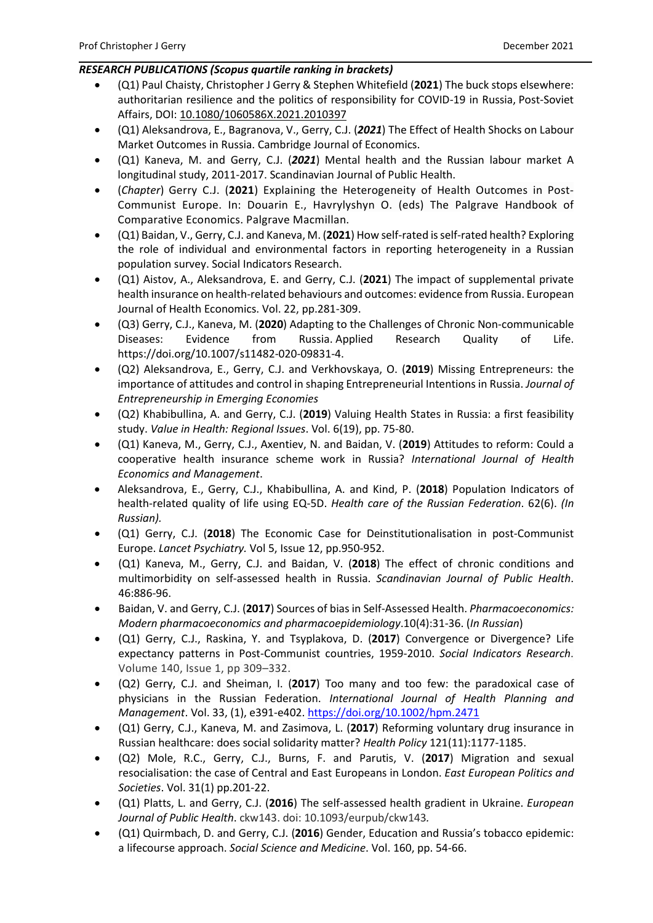#### *RESEARCH PUBLICATIONS (Scopus quartile ranking in brackets)*

- (Q1) Paul Chaisty, Christopher J Gerry & Stephen Whitefield (**2021**) The buck stops elsewhere: authoritarian resilience and the politics of responsibility for COVID-19 in Russia, Post-Soviet Affairs, DOI: [10.1080/1060586X.2021.2010397](https://doi.org/10.1080/1060586X.2021.2010397)
- (Q1) Aleksandrova, E., Bagranova, V., Gerry, C.J. (*2021*) The Effect of Health Shocks on Labour Market Outcomes in Russia. Cambridge Journal of Economics.
- (Q1) Kaneva, M. and Gerry, C.J. (*2021*) Mental health and the Russian labour market A longitudinal study, 2011-2017. Scandinavian Journal of Public Health.
- (*Chapter*) Gerry C.J. (**2021**) Explaining the Heterogeneity of Health Outcomes in Post-Communist Europe. In: Douarin E., Havrylyshyn O. (eds) The Palgrave Handbook of Comparative Economics. Palgrave Macmillan.
- (Q1) Baidan, V., Gerry, C.J. and Kaneva, M. (**2021**) How self-rated is self-rated health? Exploring the role of individual and environmental factors in reporting heterogeneity in a Russian population survey. Social Indicators Research.
- (Q1) Aistov, A., Aleksandrova, E. and Gerry, C.J. (**2021**) The impact of supplemental private health insurance on health-related behaviours and outcomes: evidence from Russia. European Journal of Health Economics. Vol. 22, pp.281-309.
- (Q3) Gerry, C.J., Kaneva, M. (**2020**) Adapting to the Challenges of Chronic Non-communicable Diseases: Evidence from Russia. Applied Research Quality of Life. https://doi.org/10.1007/s11482-020-09831-4.
- (Q2) Aleksandrova, E., Gerry, C.J. and Verkhovskaya, O. (**2019**) Missing Entrepreneurs: the importance of attitudes and control in shaping Entrepreneurial Intentions in Russia. *Journal of Entrepreneurship in Emerging Economies*
- (Q2) Khabibullina, A. and Gerry, C.J. (**2019**) Valuing Health States in Russia: a first feasibility study. *Value in Health: Regional Issues*. Vol. 6(19), pp. 75-80.
- (Q1) Kaneva, M., Gerry, C.J., Axentiev, N. and Baidan, V. (**2019**) Attitudes to reform: Could a cooperative health insurance scheme work in Russia? *International Journal of Health Economics and Management*.
- Aleksandrova, E., Gerry, C.J., Khabibullina, A. and Kind, P. (**2018**) Population Indicators of health-related quality of life using EQ-5D. *Health care of the Russian Federation*. 62(6). *(In Russian).*
- (Q1) Gerry, C.J. (**2018**) The Economic Case for Deinstitutionalisation in post-Communist Europe. *Lancet Psychiatry.* Vol 5, Issue 12, pp.950-952.
- (Q1) Kaneva, M., Gerry, C.J. and Baidan, V. (**2018**) The effect of chronic conditions and multimorbidity on self-assessed health in Russia. *Scandinavian Journal of Public Health*. 46:886-96.
- Baidan, V. and Gerry, C.J. (**2017**) Sources of bias in Self-Assessed Health. *Pharmacoeconomics: Modern pharmacoeconomics and pharmacoepidemiology*.10(4):31-36. (*In Russian*)
- (Q1) Gerry, C.J., Raskina, Y. and Tsyplakova, D. (**2017**) Convergence or Divergence? Life expectancy patterns in Post-Communist countries, 1959-2010. *Social Indicators Research*. Volume 140, Issue 1, pp 309–332.
- (Q2) Gerry, C.J. and Sheiman, I. (**2017**) Too many and too few: the paradoxical case of physicians in the Russian Federation. *International Journal of Health Planning and Management*. Vol. 33, (1), e391-e402[. https://doi.org/10.1002/hpm.2471](https://doi.org/10.1002/hpm.2471)
- (Q1) Gerry, C.J., Kaneva, M. and Zasimova, L. (**2017**) Reforming voluntary drug insurance in Russian healthcare: does social solidarity matter? *Health Policy* 121(11):1177-1185.
- (Q2) Mole, R.C., Gerry, C.J., Burns, F. and Parutis, V. (**2017**) Migration and sexual resocialisation: the case of Central and East Europeans in London. *East European Politics and Societies*. Vol. 31(1) pp.201-22.
- (Q1) Platts, L. and Gerry, C.J. (**2016**) The self-assessed health gradient in Ukraine. *European Journal of Public Health*. ckw143. doi: 10.1093/eurpub/ckw143*.*
- (Q1) Quirmbach, D. and Gerry, C.J. (**2016**) Gender, Education and Russia's tobacco epidemic: a lifecourse approach. *Social Science and Medicine*. Vol. 160, pp. 54-66.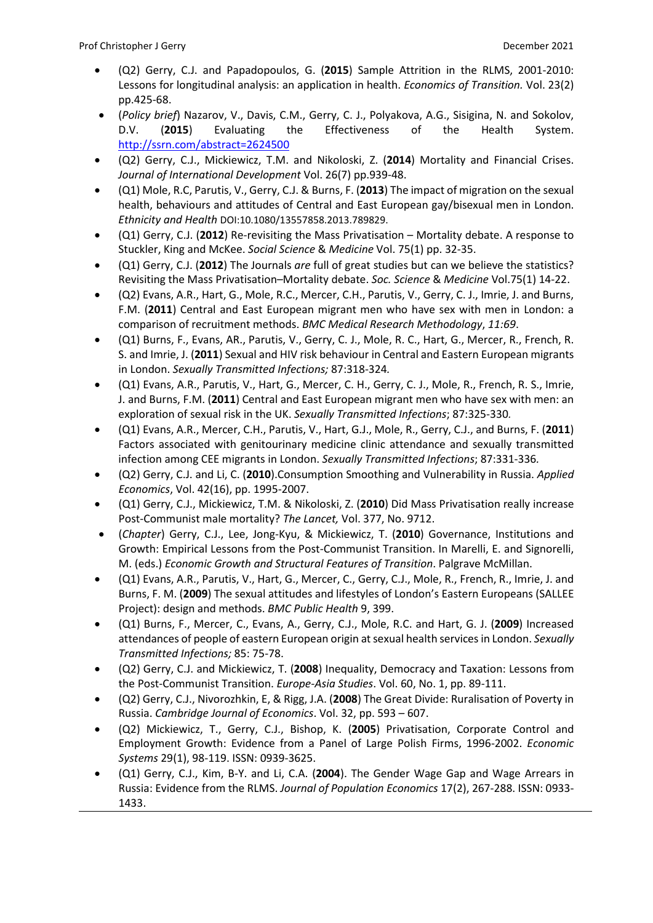- (Q2) Gerry, C.J. and Papadopoulos, G. (**2015**) Sample Attrition in the RLMS, 2001-2010: Lessons for longitudinal analysis: an application in health. *Economics of Transition.* Vol. 23(2) pp.425-68.
- (*Policy brief*) Nazarov, V., Davis, C.M., Gerry, C. J., Polyakova, A.G., Sisigina, N. and Sokolov, D.V. (**2015**) Evaluating the Effectiveness of the Health System. <http://ssrn.com/abstract=2624500>
- (Q2) Gerry, C.J., Mickiewicz, T.M. and Nikoloski, Z. (**2014**) Mortality and Financial Crises. *Journal of International Development* Vol. 26(7) pp.939-48.
- (Q1) Mole, R.C, Parutis, V., Gerry, C.J. & Burns, F. (**2013**) The impact of migration on the sexual health, behaviours and attitudes of Central and East European gay/bisexual men in London. *Ethnicity and Health* DOI:10.1080/13557858.2013.789829.
- (Q1) Gerry, C.J. (**2012**) Re-revisiting the Mass Privatisation Mortality debate. A response to Stuckler, King and McKee. *Social Science* & *Medicine* Vol. 75(1) pp. 32-35.
- (Q1) Gerry, C.J. (**2012**) The Journals *are* full of great studies but can we believe the statistics? Revisiting the Mass Privatisation–Mortality debate. *Soc. Science* & *Medicine* Vol.75(1) 14-22.
- (Q2) Evans, A.R., Hart, G., Mole, R.C., Mercer, C.H., Parutis, V., Gerry, C. J., Imrie, J. and Burns, F.M. (**2011**) Central and East European migrant men who have sex with men in London: a comparison of recruitment methods. *BMC Medical Research Methodology*, *11:69*.
- (Q1) Burns, F., Evans, AR., Parutis, V., Gerry, C. J., Mole, R. C., Hart, G., Mercer, R., French, R. S. and Imrie, J. (**2011**) Sexual and HIV risk behaviour in Central and Eastern European migrants in London. *Sexually Transmitted Infections;* 87:318-324*.*
- (Q1) Evans, A.R., Parutis, V., Hart, G., Mercer, C. H., Gerry, C. J., Mole, R., French, R. S., Imrie, J. and Burns, F.M. (**2011**) Central and East European migrant men who have sex with men: an exploration of sexual risk in the UK. *Sexually Transmitted Infections*; 87:325-330*.*
- (Q1) Evans, A.R., Mercer, C.H., Parutis, V., Hart, G.J., Mole, R., Gerry, C.J., and Burns, F. (**2011**) Factors associated with genitourinary medicine clinic attendance and sexually transmitted infection among CEE migrants in London. *Sexually Transmitted Infections*; 87:331-336*.*
- (Q2) Gerry, C.J. and Li, C. (**2010**).Consumption Smoothing and Vulnerability in Russia. *Applied Economics*, Vol. 42(16), pp. 1995-2007.
- (Q1) Gerry, C.J., Mickiewicz, T.M. & Nikoloski, Z. (**2010**) Did Mass Privatisation really increase Post-Communist male mortality? *The Lancet,* Vol. 377, No. 9712.
- (*Chapter*) Gerry, C.J., Lee, Jong-Kyu, & Mickiewicz, T. (**2010**) Governance, Institutions and Growth: Empirical Lessons from the Post-Communist Transition. In Marelli, E. and Signorelli, M. (eds.) *Economic Growth and Structural Features of Transition*. Palgrave McMillan.
- (Q1) Evans, A.R., Parutis, V., Hart, G., Mercer, C., Gerry, C.J., Mole, R., French, R., Imrie, J. and Burns, F. M. (**2009**) The sexual attitudes and lifestyles of London's Eastern Europeans (SALLEE Project): design and methods. *BMC Public Health* 9, 399.
- (Q1) Burns, F., Mercer, C., Evans, A., Gerry, C.J., Mole, R.C. and Hart, G. J. (**2009**) Increased attendances of people of eastern European origin at sexual health services in London. *Sexually Transmitted Infections;* 85: 75-78.
- (Q2) Gerry, C.J. and Mickiewicz, T. (**2008**) Inequality, Democracy and Taxation: Lessons from the Post-Communist Transition. *Europe-Asia Studies*. Vol. 60, No. 1, pp. 89-111.
- (Q2) Gerry, C.J., Nivorozhkin, E, & Rigg, J.A. (**2008**) The Great Divide: Ruralisation of Poverty in Russia. *Cambridge Journal of Economics*. Vol. 32, pp. 593 – 607.
- (Q2) Mickiewicz, T., Gerry, C.J., Bishop, K. (**2005**) Privatisation, Corporate Control and Employment Growth: Evidence from a Panel of Large Polish Firms, 1996-2002. *Economic Systems* 29(1), 98-119. ISSN: 0939-3625.
- (Q1) Gerry, C.J., Kim, B-Y. and Li, C.A. (**2004**). The Gender Wage Gap and Wage Arrears in Russia: Evidence from the RLMS. *Journal of Population Economics* 17(2), 267-288. ISSN: 0933- 1433.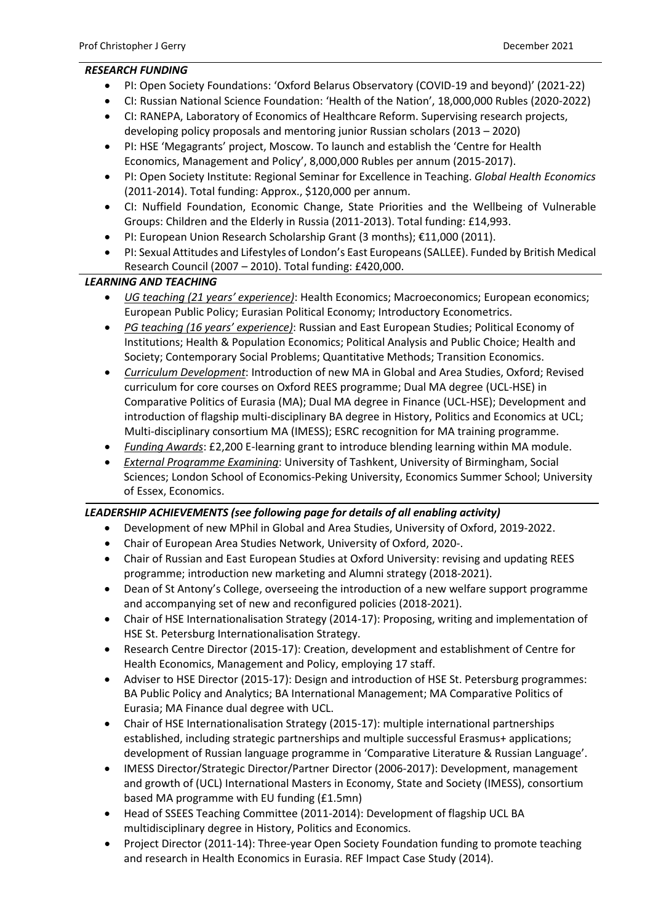#### *RESEARCH FUNDING*

- PI: Open Society Foundations: 'Oxford Belarus Observatory (COVID-19 and beyond)' (2021-22)
- CI: Russian National Science Foundation: 'Health of the Nation', 18,000,000 Rubles (2020-2022)
- CI: RANEPA, Laboratory of Economics of Healthcare Reform. Supervising research projects, developing policy proposals and mentoring junior Russian scholars (2013 – 2020)
- PI: HSE 'Megagrants' project, Moscow. To launch and establish the 'Centre for Health Economics, Management and Policy', 8,000,000 Rubles per annum (2015-2017).
- PI: Open Society Institute: Regional Seminar for Excellence in Teaching. *Global Health Economics* (2011-2014). Total funding: Approx., \$120,000 per annum.
- CI: Nuffield Foundation, Economic Change, State Priorities and the Wellbeing of Vulnerable Groups: Children and the Elderly in Russia (2011-2013). Total funding: £14,993.
- PI: European Union Research Scholarship Grant (3 months); €11,000 (2011).
- PI: Sexual Attitudes and Lifestyles of London's East Europeans (SALLEE). Funded by British Medical Research Council (2007 – 2010). Total funding: £420,000.

### *LEARNING AND TEACHING*

- *UG teaching (21 years' experience)*: Health Economics; Macroeconomics; European economics; European Public Policy; Eurasian Political Economy; Introductory Econometrics.
- *PG teaching (16 years' experience)*: Russian and East European Studies; Political Economy of Institutions; Health & Population Economics; Political Analysis and Public Choice; Health and Society; Contemporary Social Problems; Quantitative Methods; Transition Economics.
- *Curriculum Development*: Introduction of new MA in Global and Area Studies, Oxford; Revised curriculum for core courses on Oxford REES programme; Dual MA degree (UCL-HSE) in Comparative Politics of Eurasia (MA); Dual MA degree in Finance (UCL-HSE); Development and introduction of flagship multi-disciplinary BA degree in History, Politics and Economics at UCL; Multi-disciplinary consortium MA (IMESS); ESRC recognition for MA training programme.
- *Funding Awards*: £2,200 E-learning grant to introduce blending learning within MA module.
- *External Programme Examining*: University of Tashkent, University of Birmingham, Social Sciences; London School of Economics-Peking University, Economics Summer School; University of Essex, Economics.

#### *LEADERSHIP ACHIEVEMENTS (see following page for details of all enabling activity)*

- Development of new MPhil in Global and Area Studies, University of Oxford, 2019-2022.
- Chair of European Area Studies Network, University of Oxford, 2020-.
- Chair of Russian and East European Studies at Oxford University: revising and updating REES programme; introduction new marketing and Alumni strategy (2018-2021).
- Dean of St Antony's College, overseeing the introduction of a new welfare support programme and accompanying set of new and reconfigured policies (2018-2021).
- Chair of HSE Internationalisation Strategy (2014-17): Proposing, writing and implementation of HSE St. Petersburg Internationalisation Strategy.
- Research Centre Director (2015-17): Creation, development and establishment of Centre for Health Economics, Management and Policy, employing 17 staff.
- Adviser to HSE Director (2015-17): Design and introduction of HSE St. Petersburg programmes: BA Public Policy and Analytics; BA International Management; MA Comparative Politics of Eurasia; MA Finance dual degree with UCL.
- Chair of HSE Internationalisation Strategy (2015-17): multiple international partnerships established, including strategic partnerships and multiple successful Erasmus+ applications; development of Russian language programme in 'Comparative Literature & Russian Language'.
- IMESS Director/Strategic Director/Partner Director (2006-2017): Development, management and growth of (UCL) International Masters in Economy, State and Society (IMESS), consortium based MA programme with EU funding (£1.5mn)
- Head of SSEES Teaching Committee (2011-2014): Development of flagship UCL BA multidisciplinary degree in History, Politics and Economics.
- Project Director (2011-14): Three-year Open Society Foundation funding to promote teaching and research in Health Economics in Eurasia. REF Impact Case Study (2014).